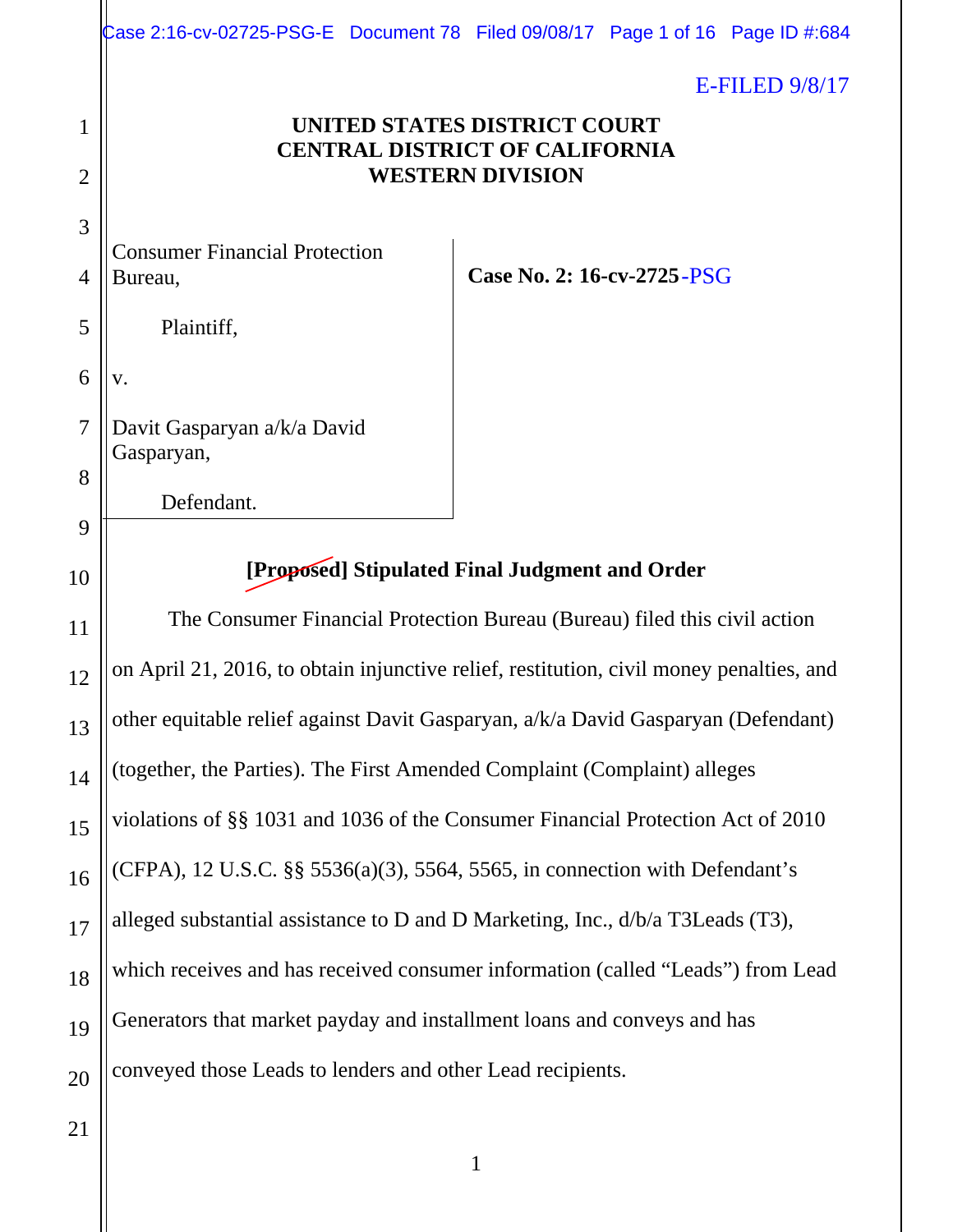|                | Case 2:16-cv-02725-PSG-E Document 78 Filed 09/08/17 Page 1 of 16 Page ID #:684          |                            |                     |
|----------------|-----------------------------------------------------------------------------------------|----------------------------|---------------------|
|                |                                                                                         |                            | $E$ -FILED $9/8/17$ |
| 1              | UNITED STATES DISTRICT COURT                                                            |                            |                     |
| $\overline{2}$ | <b>CENTRAL DISTRICT OF CALIFORNIA</b>                                                   | <b>WESTERN DIVISION</b>    |                     |
| 3              |                                                                                         |                            |                     |
| 4              | <b>Consumer Financial Protection</b><br>Bureau,                                         | Case No. 2: 16-cv-2725-PSG |                     |
| 5              | Plaintiff,                                                                              |                            |                     |
| 6              | V.                                                                                      |                            |                     |
| $\overline{7}$ | Davit Gasparyan a/k/a David                                                             |                            |                     |
| 8              | Gasparyan,                                                                              |                            |                     |
| 9              | Defendant.                                                                              |                            |                     |
| 10             | [Proposed] Stipulated Final Judgment and Order                                          |                            |                     |
| 11             | The Consumer Financial Protection Bureau (Bureau) filed this civil action               |                            |                     |
| 12             | on April 21, 2016, to obtain injunctive relief, restitution, civil money penalties, and |                            |                     |
|                | other equitable relief against Davit Gasparyan, a/k/a David Gasparyan (Defendant)       |                            |                     |
| 13             | (together, the Parties). The First Amended Complaint (Complaint) alleges                |                            |                     |
| 14             |                                                                                         |                            |                     |
| 15             | violations of §§ 1031 and 1036 of the Consumer Financial Protection Act of 2010         |                            |                     |
| 16             | (CFPA), 12 U.S.C. §§ 5536(a)(3), 5564, 5565, in connection with Defendant's             |                            |                     |
| 17             | alleged substantial assistance to D and D Marketing, Inc., d/b/a T3Leads (T3),          |                            |                     |
| 18             | which receives and has received consumer information (called "Leads") from Lead         |                            |                     |
| 19             | Generators that market payday and installment loans and conveys and has                 |                            |                     |
| 20             | conveyed those Leads to lenders and other Lead recipients.                              |                            |                     |
| 21             |                                                                                         |                            |                     |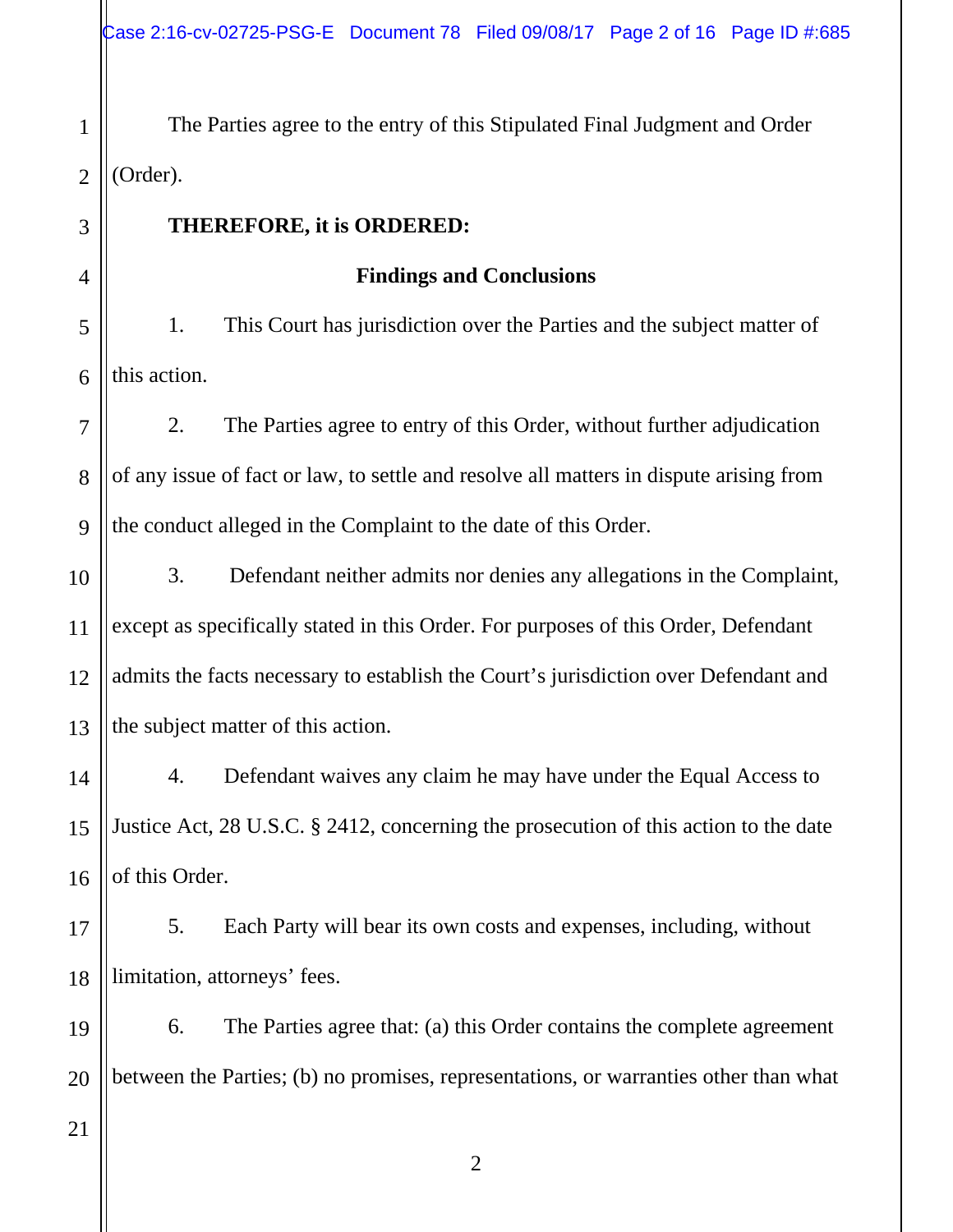1 2 The Parties agree to the entry of this Stipulated Final Judgment and Order (Order).

## **THEREFORE, it is ORDERED:**

#### **Findings and Conclusions**

5 6 1. This Court has jurisdiction over the Parties and the subject matter of this action.

7 8 9 2. The Parties agree to entry of this Order, without further adjudication of any issue of fact or law, to settle and resolve all matters in dispute arising from the conduct alleged in the Complaint to the date of this Order.

10 11 12 13 3. Defendant neither admits nor denies any allegations in the Complaint, except as specifically stated in this Order. For purposes of this Order, Defendant admits the facts necessary to establish the Court's jurisdiction over Defendant and the subject matter of this action.

14 15 16 4. Defendant waives any claim he may have under the Equal Access to Justice Act, 28 U.S.C. § 2412, concerning the prosecution of this action to the date of this Order.

17 18 5. Each Party will bear its own costs and expenses, including, without limitation, attorneys' fees.

19 20 6. The Parties agree that: (a) this Order contains the complete agreement between the Parties; (b) no promises, representations, or warranties other than what

21

3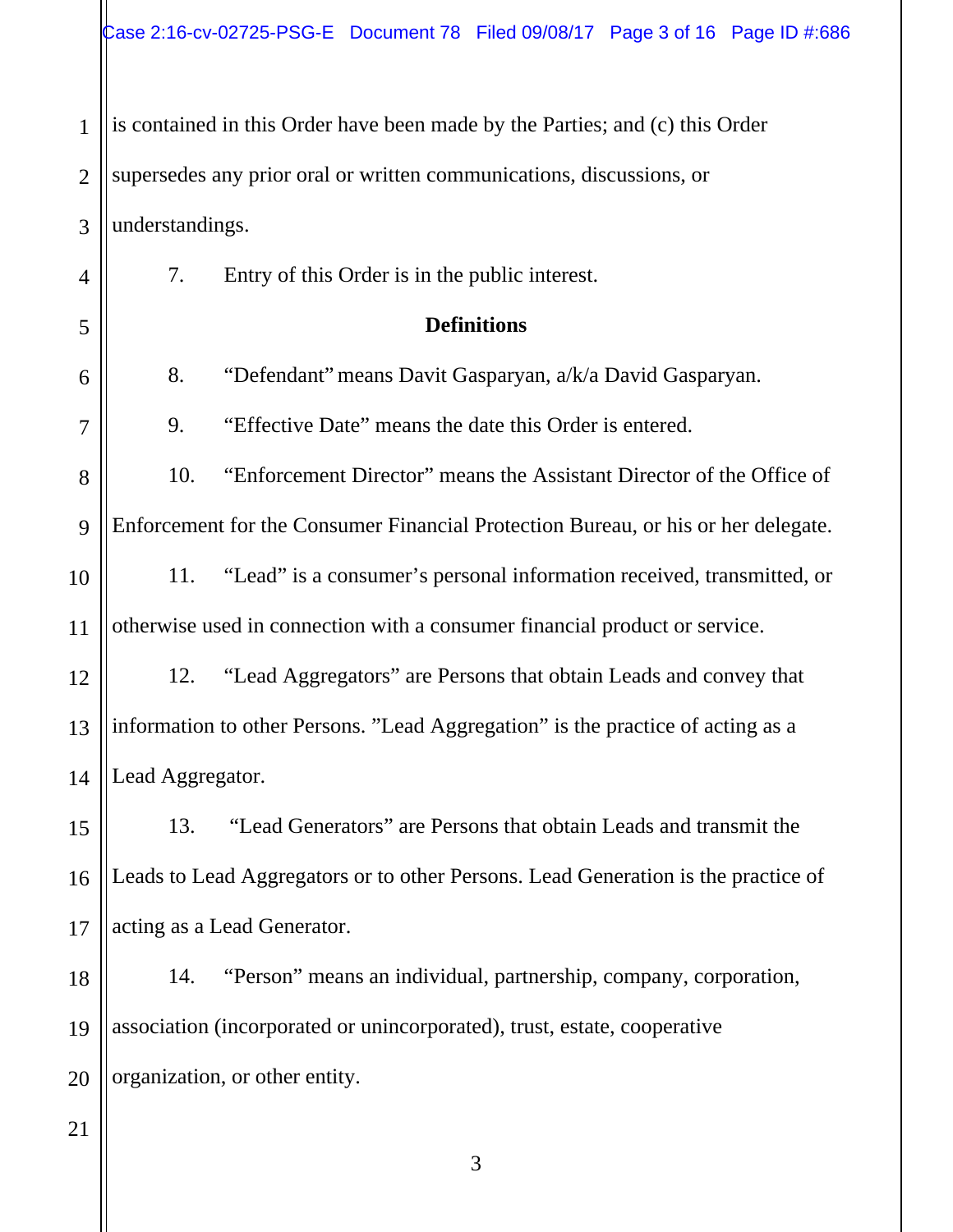1 2 3 4 is contained in this Order have been made by the Parties; and (c) this Order supersedes any prior oral or written communications, discussions, or understandings. 7. Entry of this Order is in the public interest.

**Definitions**

8. "Defendant" means Davit Gasparyan, a/k/a David Gasparyan.

9. "Effective Date" means the date this Order is entered.

8 9 10. "Enforcement Director" means the Assistant Director of the Office of Enforcement for the Consumer Financial Protection Bureau, or his or her delegate.

10 11 11. "Lead" is a consumer's personal information received, transmitted, or otherwise used in connection with a consumer financial product or service.

12 13 14 12. "Lead Aggregators" are Persons that obtain Leads and convey that information to other Persons. "Lead Aggregation" is the practice of acting as a Lead Aggregator.

15 16 17 13. "Lead Generators" are Persons that obtain Leads and transmit the Leads to Lead Aggregators or to other Persons. Lead Generation is the practice of acting as a Lead Generator.

18 19 20 14. "Person" means an individual, partnership, company, corporation, association (incorporated or unincorporated), trust, estate, cooperative organization, or other entity.

21

5

6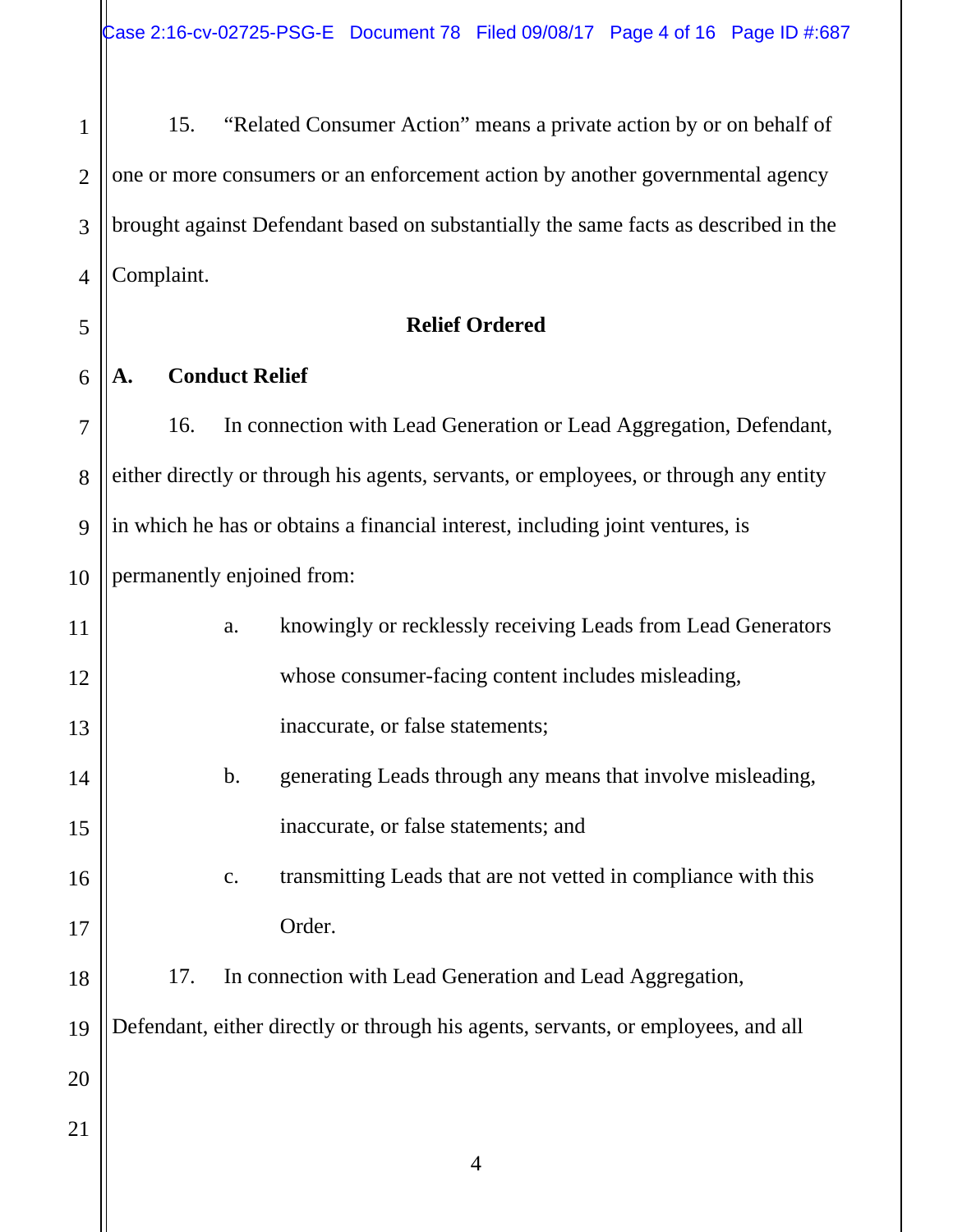1 2 3 4 15. "Related Consumer Action" means a private action by or on behalf of one or more consumers or an enforcement action by another governmental agency brought against Defendant based on substantially the same facts as described in the Complaint.

#### **Relief Ordered**

#### **A. Conduct Relief**

5

6

7

8 9 10 16. In connection with Lead Generation or Lead Aggregation, Defendant, either directly or through his agents, servants, or employees, or through any entity in which he has or obtains a financial interest, including joint ventures, is permanently enjoined from:

| 11 | a.            | knowingly or recklessly receiving Leads from Lead Generators                      |
|----|---------------|-----------------------------------------------------------------------------------|
| 12 |               | whose consumer-facing content includes misleading,                                |
| 13 |               | inaccurate, or false statements;                                                  |
| 14 | $\mathbf b$ . | generating Leads through any means that involve misleading,                       |
| 15 |               | inaccurate, or false statements; and                                              |
| 16 | c.            | transmitting Leads that are not vetted in compliance with this                    |
| 17 |               | Order.                                                                            |
| 18 | 17.           | In connection with Lead Generation and Lead Aggregation,                          |
| 19 |               | Defendant, either directly or through his agents, servants, or employees, and all |
| 20 |               |                                                                                   |
| 21 |               |                                                                                   |
|    |               | 4                                                                                 |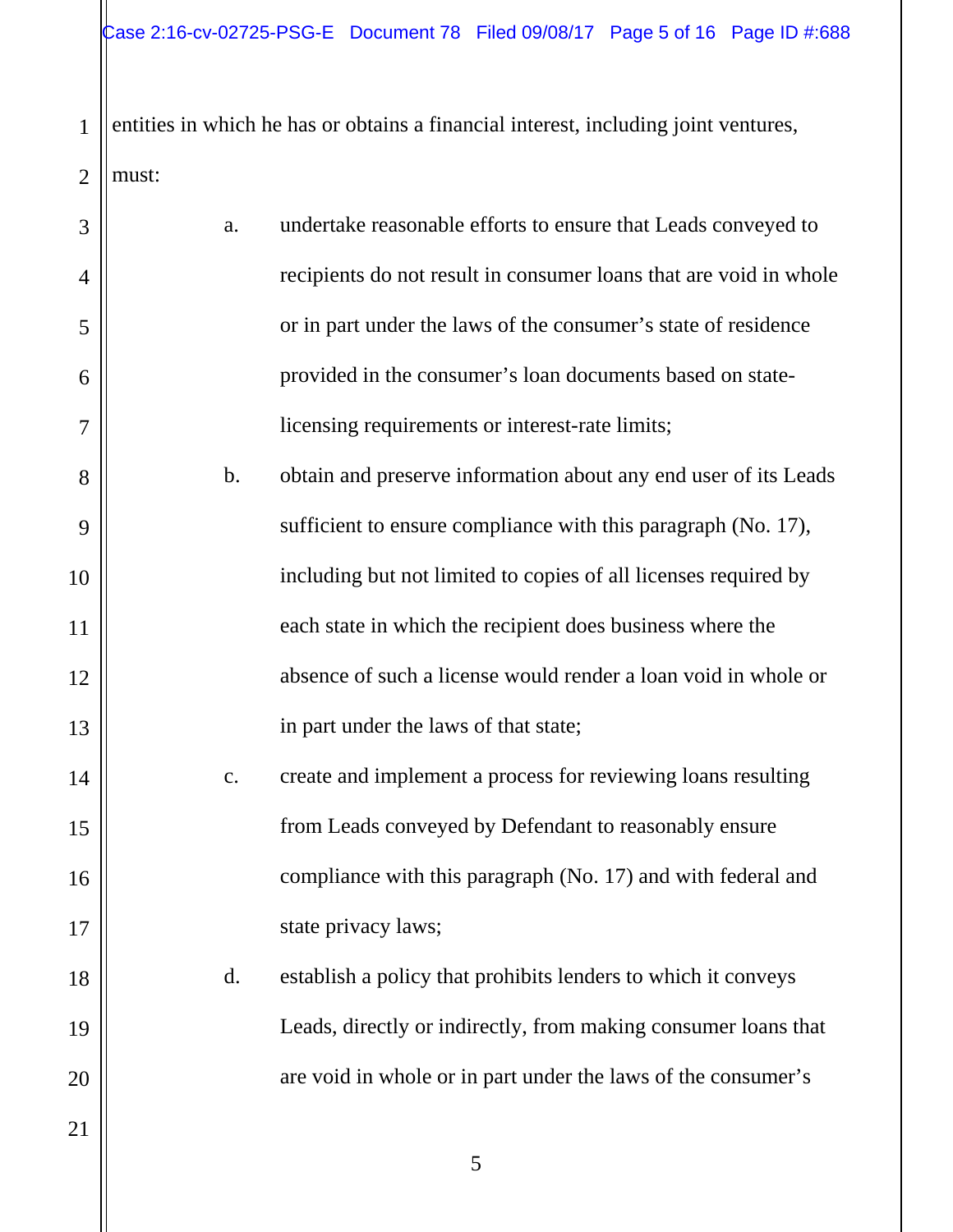1 2 entities in which he has or obtains a financial interest, including joint ventures, must:

| 3              | a.             | undertake reasonable efforts to ensure that Leads conveyed to     |
|----------------|----------------|-------------------------------------------------------------------|
| $\overline{4}$ |                | recipients do not result in consumer loans that are void in whole |
| 5              |                | or in part under the laws of the consumer's state of residence    |
| 6              |                | provided in the consumer's loan documents based on state-         |
| 7              |                | licensing requirements or interest-rate limits;                   |
| 8              | $b$ .          | obtain and preserve information about any end user of its Leads   |
| 9              |                | sufficient to ensure compliance with this paragraph (No. 17),     |
| 10             |                | including but not limited to copies of all licenses required by   |
| 11             |                | each state in which the recipient does business where the         |
| 12             |                | absence of such a license would render a loan void in whole or    |
| 13             |                | in part under the laws of that state;                             |
| 14             | c.             | create and implement a process for reviewing loans resulting      |
| 15             |                | from Leads conveyed by Defendant to reasonably ensure             |
| 16             |                | compliance with this paragraph (No. 17) and with federal and      |
| 17             |                | state privacy laws;                                               |
| 18             | $\mathbf{d}$ . | establish a policy that prohibits lenders to which it conveys     |
| 19             |                | Leads, directly or indirectly, from making consumer loans that    |
| 20             |                | are void in whole or in part under the laws of the consumer's     |
| 21             |                |                                                                   |
|                |                | 5                                                                 |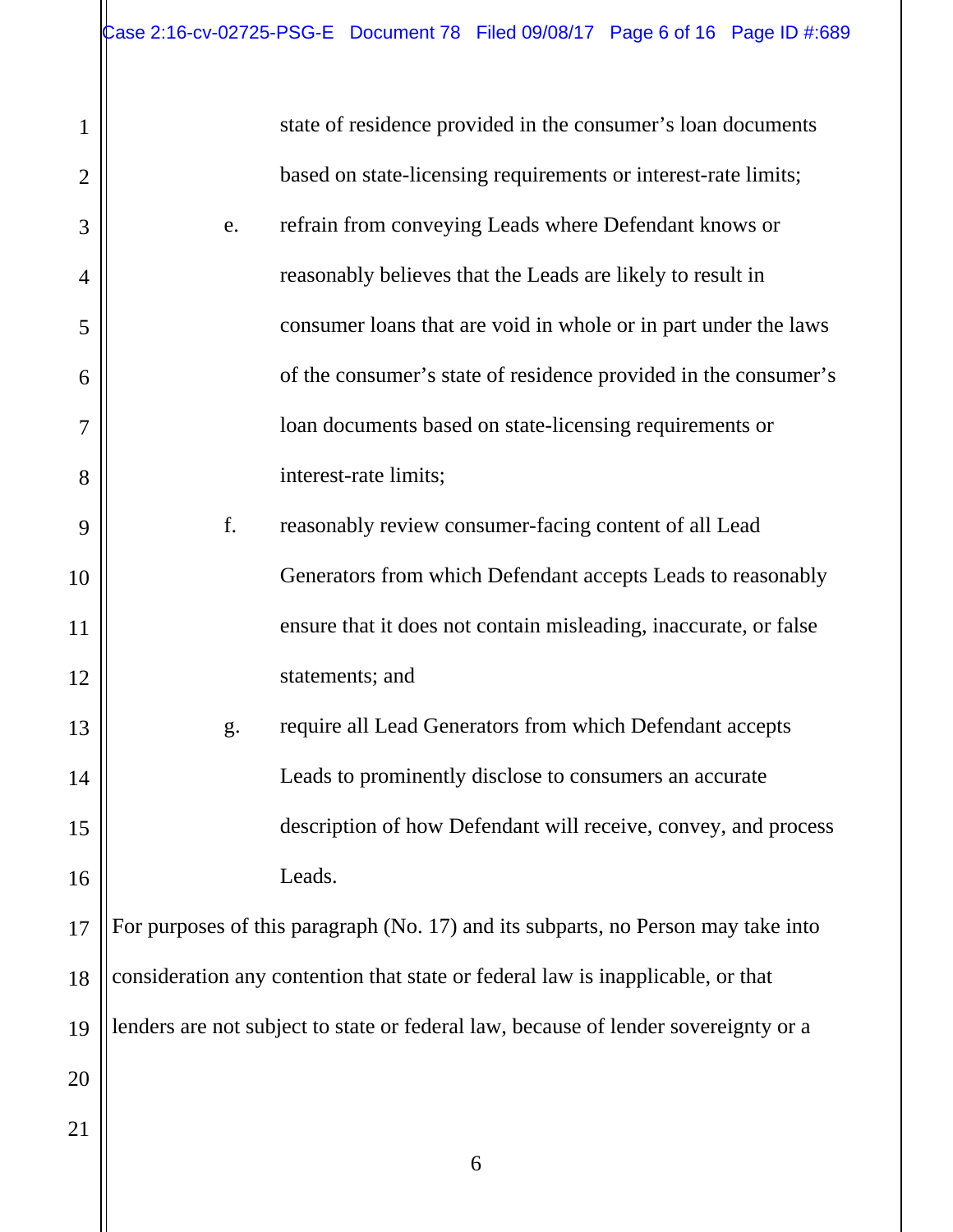|                |    | state of residence provided in the consumer's loan documents                        |
|----------------|----|-------------------------------------------------------------------------------------|
| $\overline{2}$ |    | based on state-licensing requirements or interest-rate limits;                      |
| 3              | e. | refrain from conveying Leads where Defendant knows or                               |
| $\overline{4}$ |    | reasonably believes that the Leads are likely to result in                          |
| 5              |    | consumer loans that are void in whole or in part under the laws                     |
| 6              |    | of the consumer's state of residence provided in the consumer's                     |
|                |    | loan documents based on state-licensing requirements or                             |
| 8              |    | interest-rate limits;                                                               |
| 9              | f. | reasonably review consumer-facing content of all Lead                               |
| 10             |    | Generators from which Defendant accepts Leads to reasonably                         |
| 11             |    | ensure that it does not contain misleading, inaccurate, or false                    |
| 12             |    | statements; and                                                                     |
| 13             | g. | require all Lead Generators from which Defendant accepts                            |
| 14             |    | Leads to prominently disclose to consumers an accurate                              |
| 15             |    | description of how Defendant will receive, convey, and process                      |
| 16             |    | Leads.                                                                              |
| 17             |    | For purposes of this paragraph (No. 17) and its subparts, no Person may take into   |
| 18             |    | consideration any contention that state or federal law is inapplicable, or that     |
| 19             |    | lenders are not subject to state or federal law, because of lender sovereignty or a |
| 20             |    |                                                                                     |
| 21             |    |                                                                                     |
|                |    | 6                                                                                   |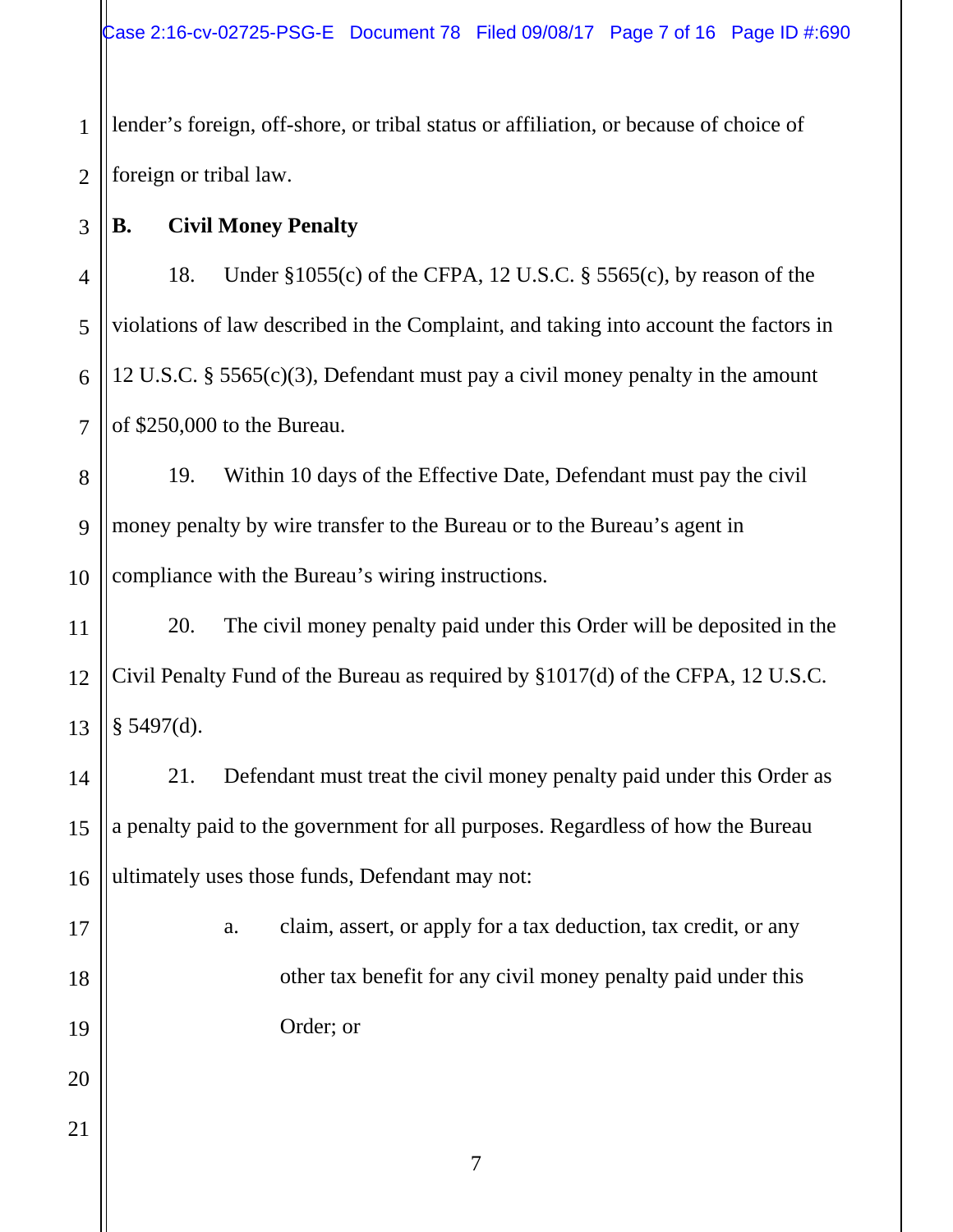1 2 lender's foreign, off-shore, or tribal status or affiliation, or because of choice of foreign or tribal law.

**B. Civil Money Penalty** 

3

4 5 6 7 18. Under §1055(c) of the CFPA, 12 U.S.C. § 5565(c), by reason of the violations of law described in the Complaint, and taking into account the factors in 12 U.S.C. § 5565(c)(3), Defendant must pay a civil money penalty in the amount of \$250,000 to the Bureau.

8 9 10 19. Within 10 days of the Effective Date, Defendant must pay the civil money penalty by wire transfer to the Bureau or to the Bureau's agent in compliance with the Bureau's wiring instructions.

11 12 13 20. The civil money penalty paid under this Order will be deposited in the Civil Penalty Fund of the Bureau as required by §1017(d) of the CFPA, 12 U.S.C.  $§$  5497(d).

21. Defendant must treat the civil money penalty paid under this Order as a penalty paid to the government for all purposes. Regardless of how the Bureau ultimately uses those funds, Defendant may not:

17

18

19

20

21

14

15

16

a. claim, assert, or apply for a tax deduction, tax credit, or any other tax benefit for any civil money penalty paid under this Order; or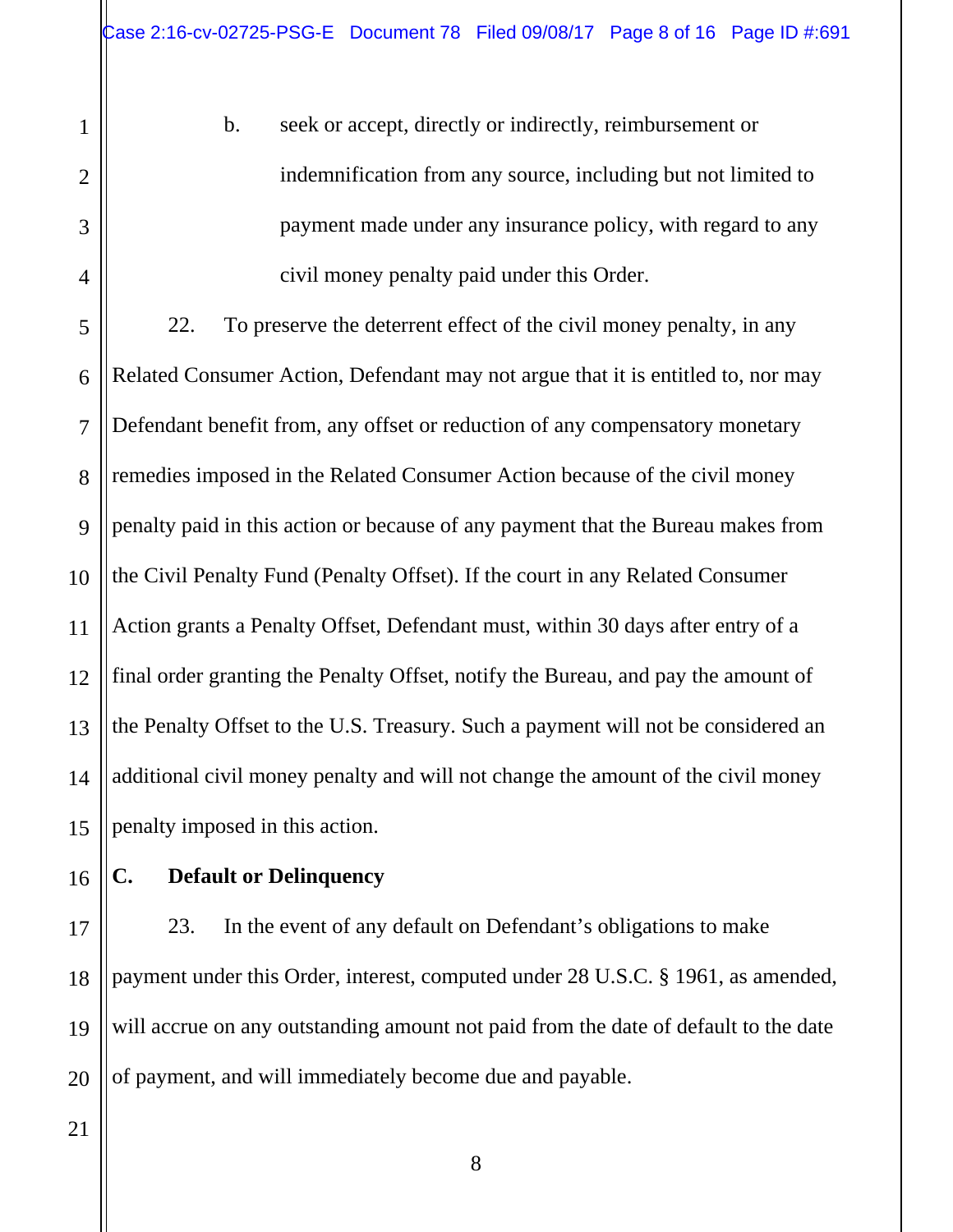b. seek or accept, directly or indirectly, reimbursement or indemnification from any source, including but not limited to payment made under any insurance policy, with regard to any civil money penalty paid under this Order.

5 6 7 8 9 10 11 12 13 14 15 22. To preserve the deterrent effect of the civil money penalty, in any Related Consumer Action, Defendant may not argue that it is entitled to, nor may Defendant benefit from, any offset or reduction of any compensatory monetary remedies imposed in the Related Consumer Action because of the civil money penalty paid in this action or because of any payment that the Bureau makes from the Civil Penalty Fund (Penalty Offset). If the court in any Related Consumer Action grants a Penalty Offset, Defendant must, within 30 days after entry of a final order granting the Penalty Offset, notify the Bureau, and pay the amount of the Penalty Offset to the U.S. Treasury. Such a payment will not be considered an additional civil money penalty and will not change the amount of the civil money penalty imposed in this action.

16

1

2

3

4

# **C. Default or Delinquency**

17 18 19 20 23. In the event of any default on Defendant's obligations to make payment under this Order, interest, computed under 28 U.S.C. § 1961, as amended, will accrue on any outstanding amount not paid from the date of default to the date of payment, and will immediately become due and payable.

21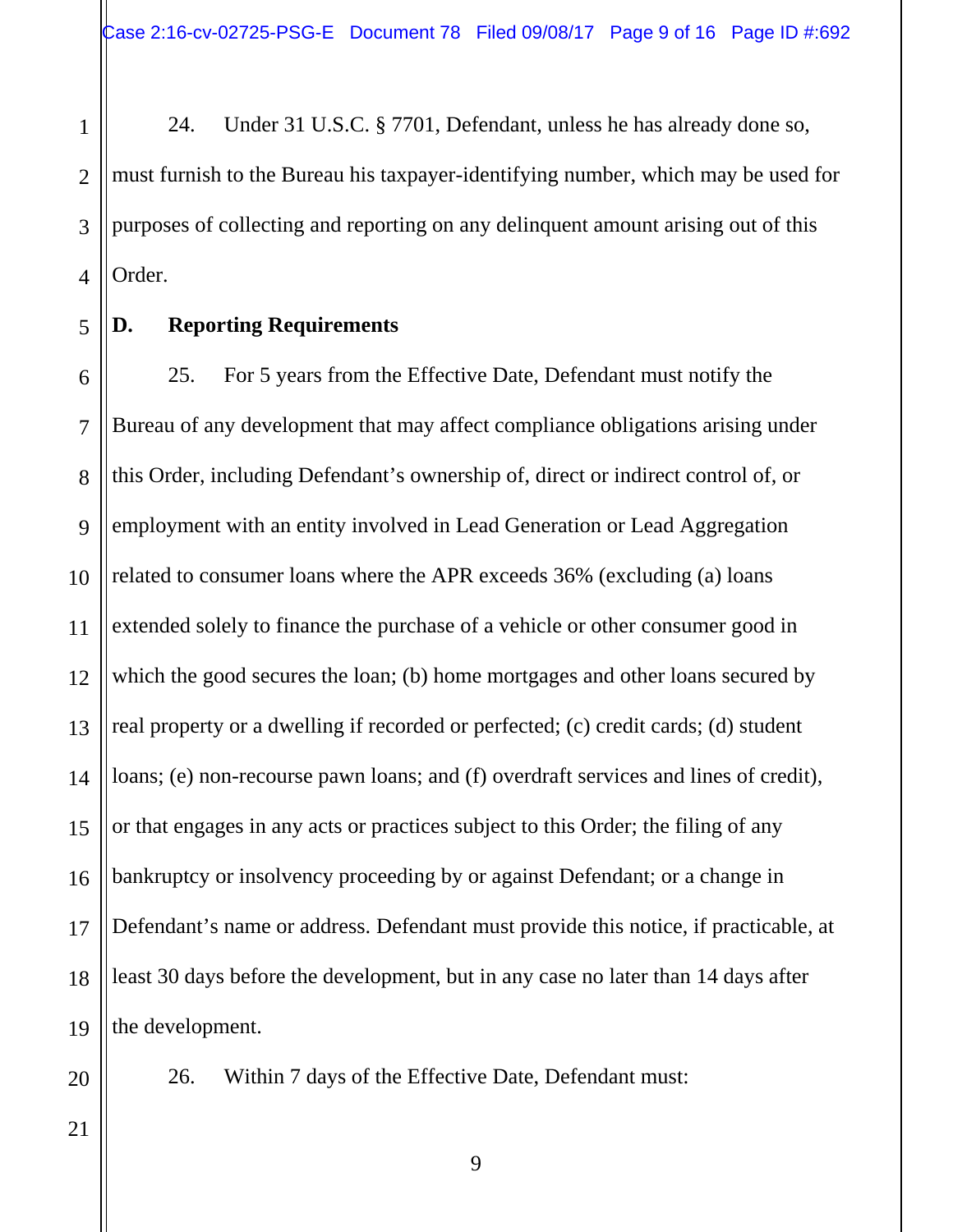1 2 3 4 24. Under 31 U.S.C. § 7701, Defendant, unless he has already done so, must furnish to the Bureau his taxpayer-identifying number, which may be used for purposes of collecting and reporting on any delinquent amount arising out of this Order.

5

#### **D. Reporting Requirements**

6 7 8 9 10 11 12 13 14 15 16 17 18 19 25. For 5 years from the Effective Date, Defendant must notify the Bureau of any development that may affect compliance obligations arising under this Order, including Defendant's ownership of, direct or indirect control of, or employment with an entity involved in Lead Generation or Lead Aggregation related to consumer loans where the APR exceeds 36% (excluding (a) loans extended solely to finance the purchase of a vehicle or other consumer good in which the good secures the loan; (b) home mortgages and other loans secured by real property or a dwelling if recorded or perfected; (c) credit cards; (d) student loans; (e) non-recourse pawn loans; and (f) overdraft services and lines of credit), or that engages in any acts or practices subject to this Order; the filing of any bankruptcy or insolvency proceeding by or against Defendant; or a change in Defendant's name or address. Defendant must provide this notice, if practicable, at least 30 days before the development, but in any case no later than 14 days after the development.

20

21

26. Within 7 days of the Effective Date, Defendant must: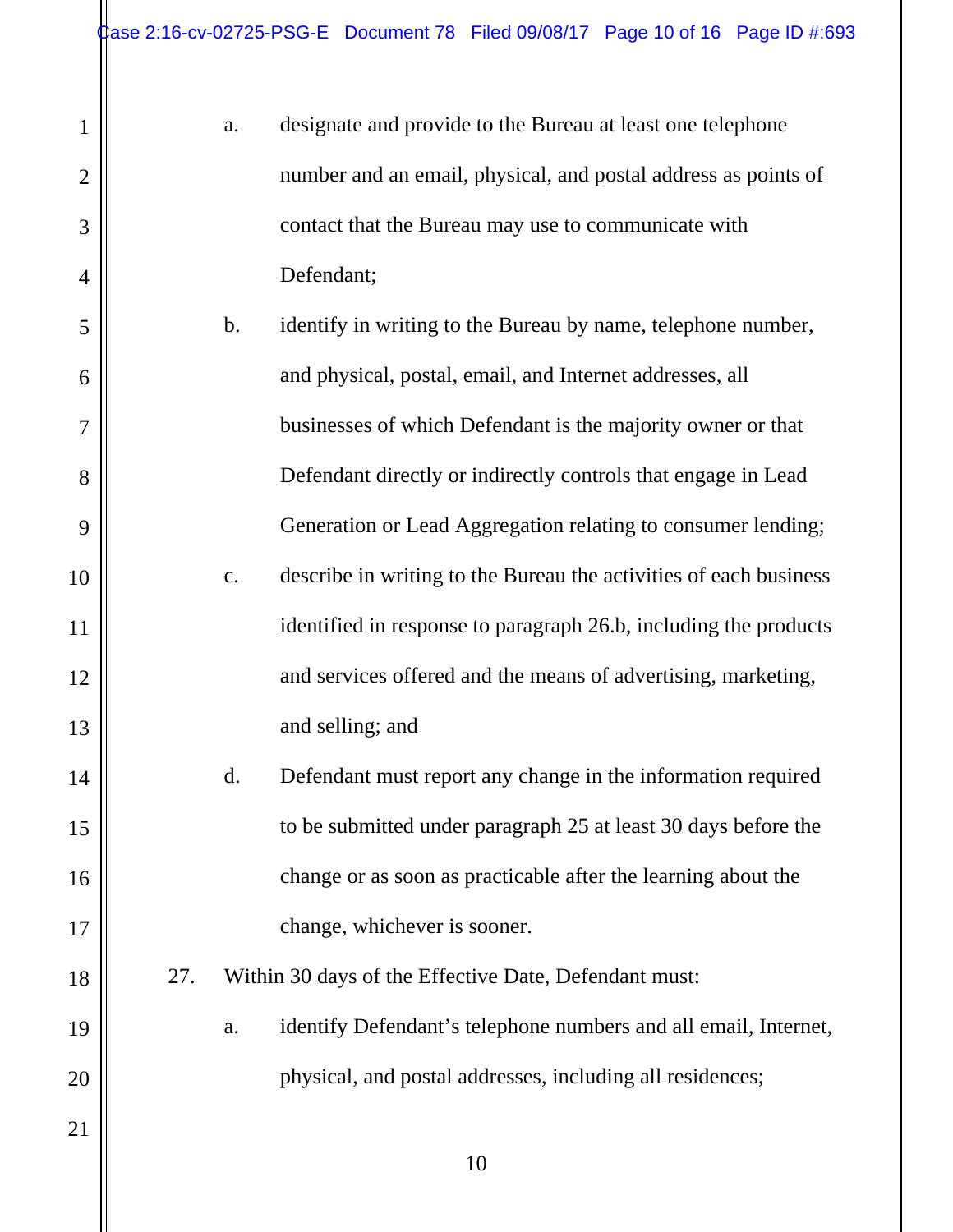1

2

3

4

5

6

7

8

9

10

11

12

13

14

15

16

17

18

19

20

| a.             | designate and provide to the Bureau at least one telephone        |
|----------------|-------------------------------------------------------------------|
|                | number and an email, physical, and postal address as points of    |
|                | contact that the Bureau may use to communicate with               |
|                | Defendant;                                                        |
| b.             | identify in writing to the Bureau by name, telephone number,      |
|                | and physical, postal, email, and Internet addresses, all          |
|                | businesses of which Defendant is the majority owner or that       |
|                | Defendant directly or indirectly controls that engage in Lead     |
|                | Generation or Lead Aggregation relating to consumer lending;      |
| $\mathbf{c}$ . | describe in writing to the Bureau the activities of each business |
|                | identified in response to paragraph 26.b, including the products  |
|                | and services offered and the means of advertising, marketing,     |
|                | and selling; and                                                  |
| d.             | Defendant must report any change in the information required      |
|                | to be submitted under paragraph 25 at least 30 days before the    |
|                | change or as soon as practicable after the learning about the     |
|                | change, whichever is sooner.                                      |

- 27. Within 30 days of the Effective Date, Defendant must:
	- a. identify Defendant's telephone numbers and all email, Internet, physical, and postal addresses, including all residences;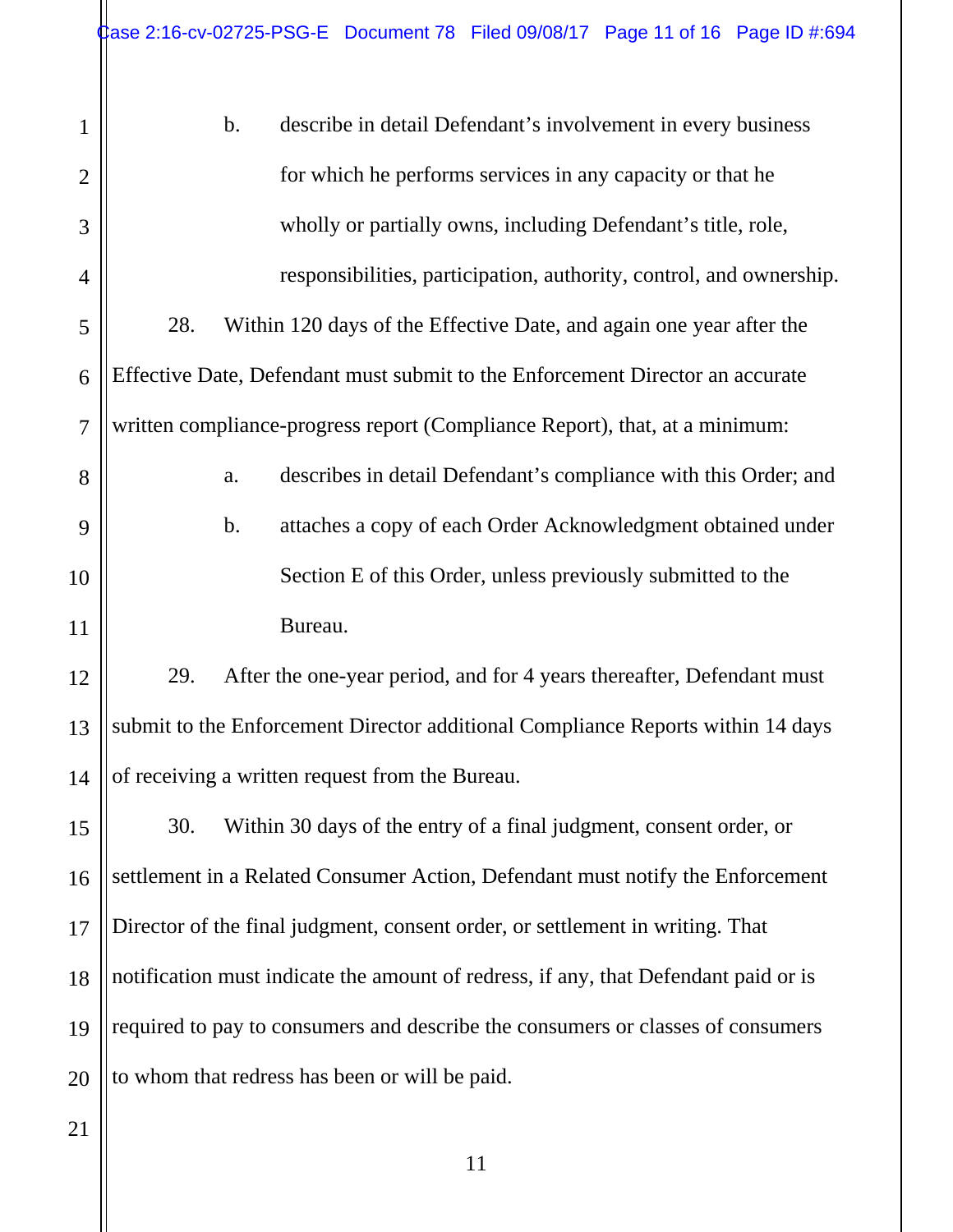| 1              | $b$ .<br>describe in detail Defendant's involvement in every business               |
|----------------|-------------------------------------------------------------------------------------|
| $\overline{2}$ | for which he performs services in any capacity or that he                           |
| 3              | wholly or partially owns, including Defendant's title, role,                        |
| 4              | responsibilities, participation, authority, control, and ownership.                 |
| 5              | 28.<br>Within 120 days of the Effective Date, and again one year after the          |
| 6              | Effective Date, Defendant must submit to the Enforcement Director an accurate       |
| $\overline{7}$ | written compliance-progress report (Compliance Report), that, at a minimum:         |
| 8              | describes in detail Defendant's compliance with this Order; and<br>a.               |
| 9              | attaches a copy of each Order Acknowledgment obtained under<br>$\mathbf b$ .        |
| 10             | Section E of this Order, unless previously submitted to the                         |
| 11             | Bureau.                                                                             |
| 12             | 29.<br>After the one-year period, and for 4 years thereafter, Defendant must        |
| 13             | submit to the Enforcement Director additional Compliance Reports within 14 days     |
| 14             | of receiving a written request from the Bureau.                                     |
| 15             | 30.<br>Within 30 days of the entry of a final judgment, consent order, or           |
| 16             | settlement in a Related Consumer Action, Defendant must notify the Enforcement      |
| 17             | Director of the final judgment, consent order, or settlement in writing. That       |
| 18             | notification must indicate the amount of redress, if any, that Defendant paid or is |
| 19             | required to pay to consumers and describe the consumers or classes of consumers     |
| 20             | to whom that redress has been or will be paid.                                      |
| 21             |                                                                                     |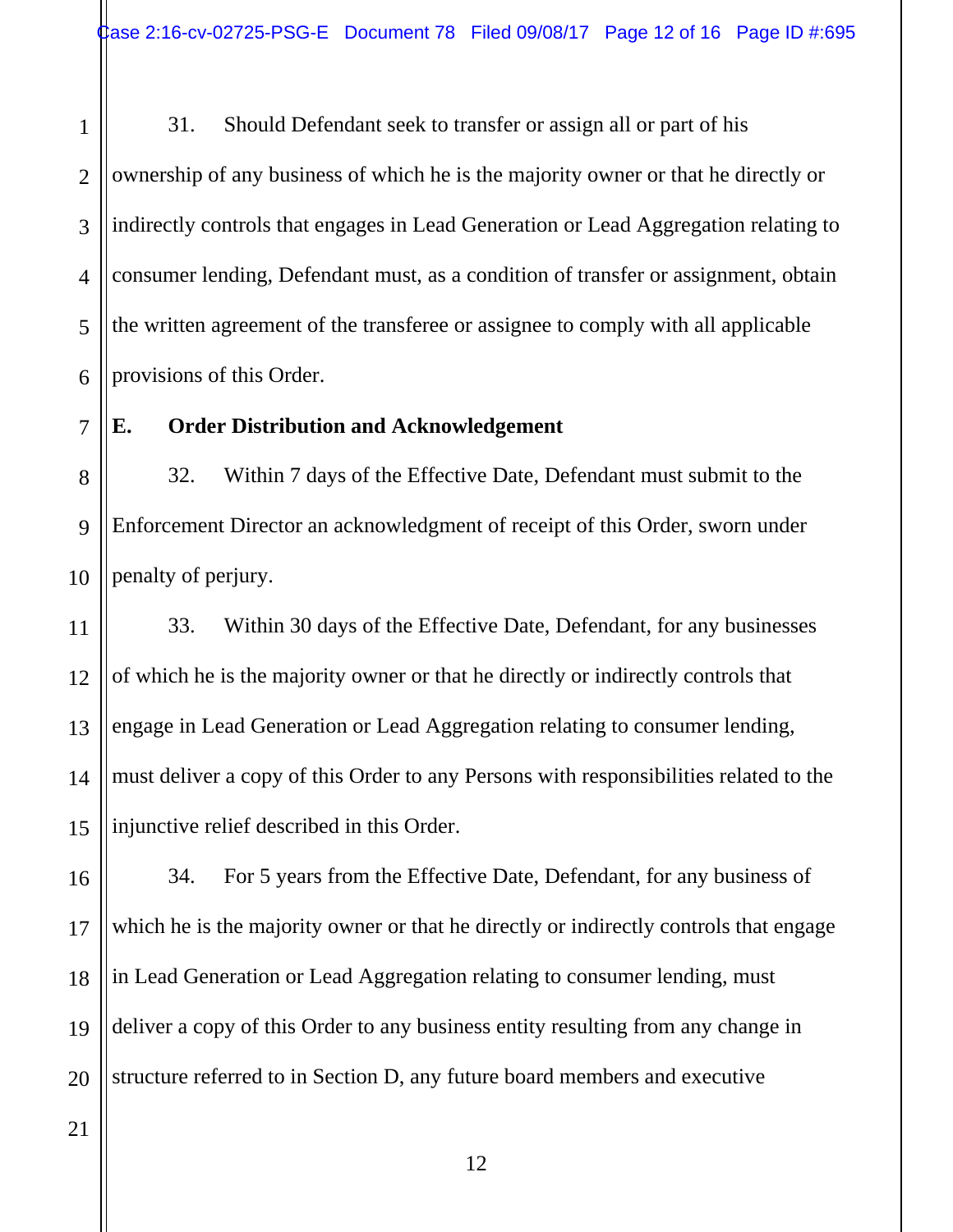1 2 3 4 5 6 31. Should Defendant seek to transfer or assign all or part of his ownership of any business of which he is the majority owner or that he directly or indirectly controls that engages in Lead Generation or Lead Aggregation relating to consumer lending, Defendant must, as a condition of transfer or assignment, obtain the written agreement of the transferee or assignee to comply with all applicable provisions of this Order.

# 7

## **E. Order Distribution and Acknowledgement**

8 9 10 32. Within 7 days of the Effective Date, Defendant must submit to the Enforcement Director an acknowledgment of receipt of this Order, sworn under penalty of perjury.

11 12 13 14 15 33. Within 30 days of the Effective Date, Defendant, for any businesses of which he is the majority owner or that he directly or indirectly controls that engage in Lead Generation or Lead Aggregation relating to consumer lending, must deliver a copy of this Order to any Persons with responsibilities related to the injunctive relief described in this Order.

16 17 18 19 20 34. For 5 years from the Effective Date, Defendant, for any business of which he is the majority owner or that he directly or indirectly controls that engage in Lead Generation or Lead Aggregation relating to consumer lending, must deliver a copy of this Order to any business entity resulting from any change in structure referred to in Section D, any future board members and executive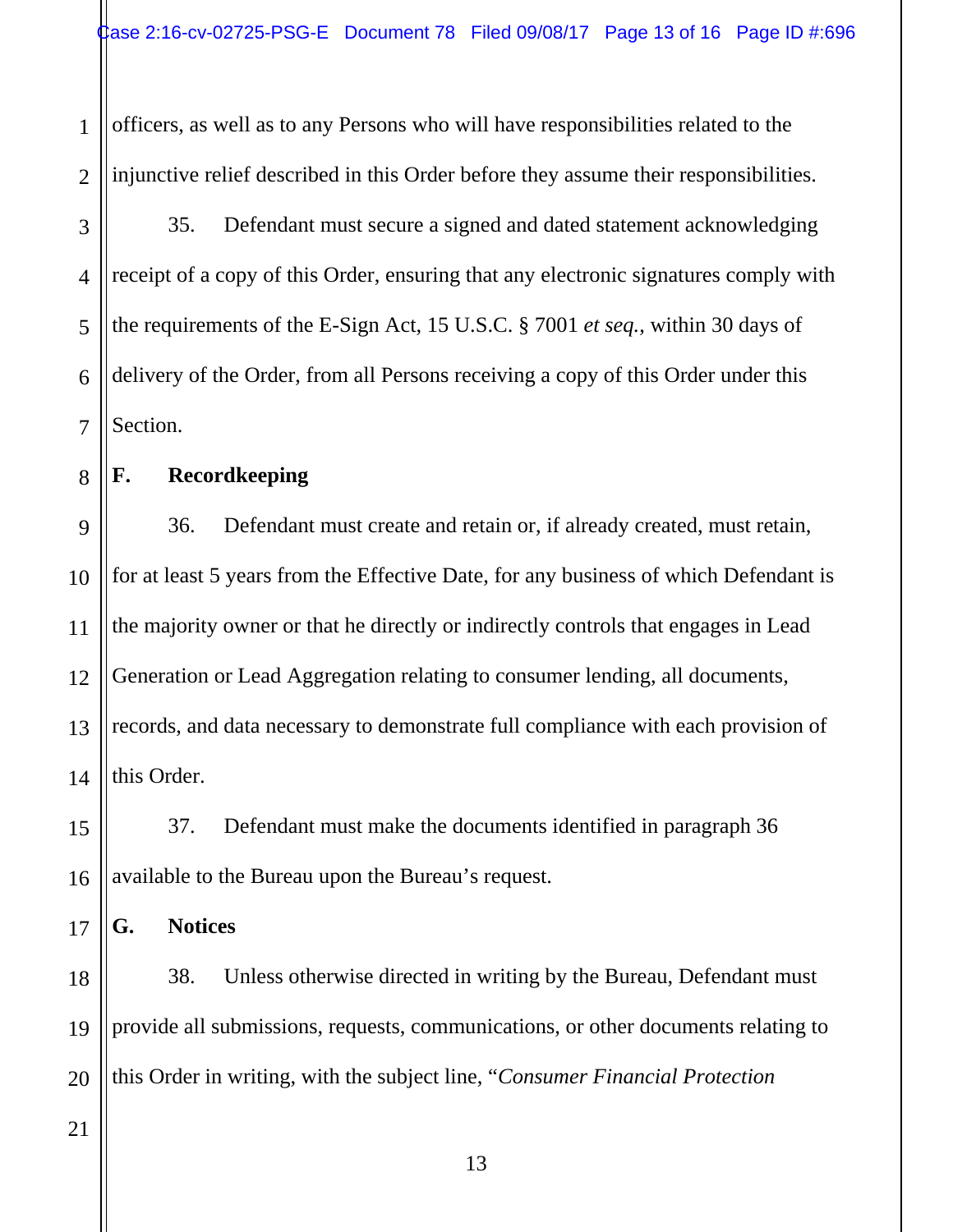1 2 officers, as well as to any Persons who will have responsibilities related to the injunctive relief described in this Order before they assume their responsibilities.

3 4 5 6 7 35. Defendant must secure a signed and dated statement acknowledging receipt of a copy of this Order, ensuring that any electronic signatures comply with the requirements of the E-Sign Act, 15 U.S.C. § 7001 *et seq.*, within 30 days of delivery of the Order, from all Persons receiving a copy of this Order under this Section.

#### **F. Recordkeeping**

8

9 10 11 12 13 14 36. Defendant must create and retain or, if already created, must retain, for at least 5 years from the Effective Date, for any business of which Defendant is the majority owner or that he directly or indirectly controls that engages in Lead Generation or Lead Aggregation relating to consumer lending, all documents, records, and data necessary to demonstrate full compliance with each provision of this Order.

37. Defendant must make the documents identified in paragraph 36 available to the Bureau upon the Bureau's request.

**G. Notices** 

18 19 20 38. Unless otherwise directed in writing by the Bureau, Defendant must provide all submissions, requests, communications, or other documents relating to this Order in writing, with the subject line, "*Consumer Financial Protection* 

21

15

16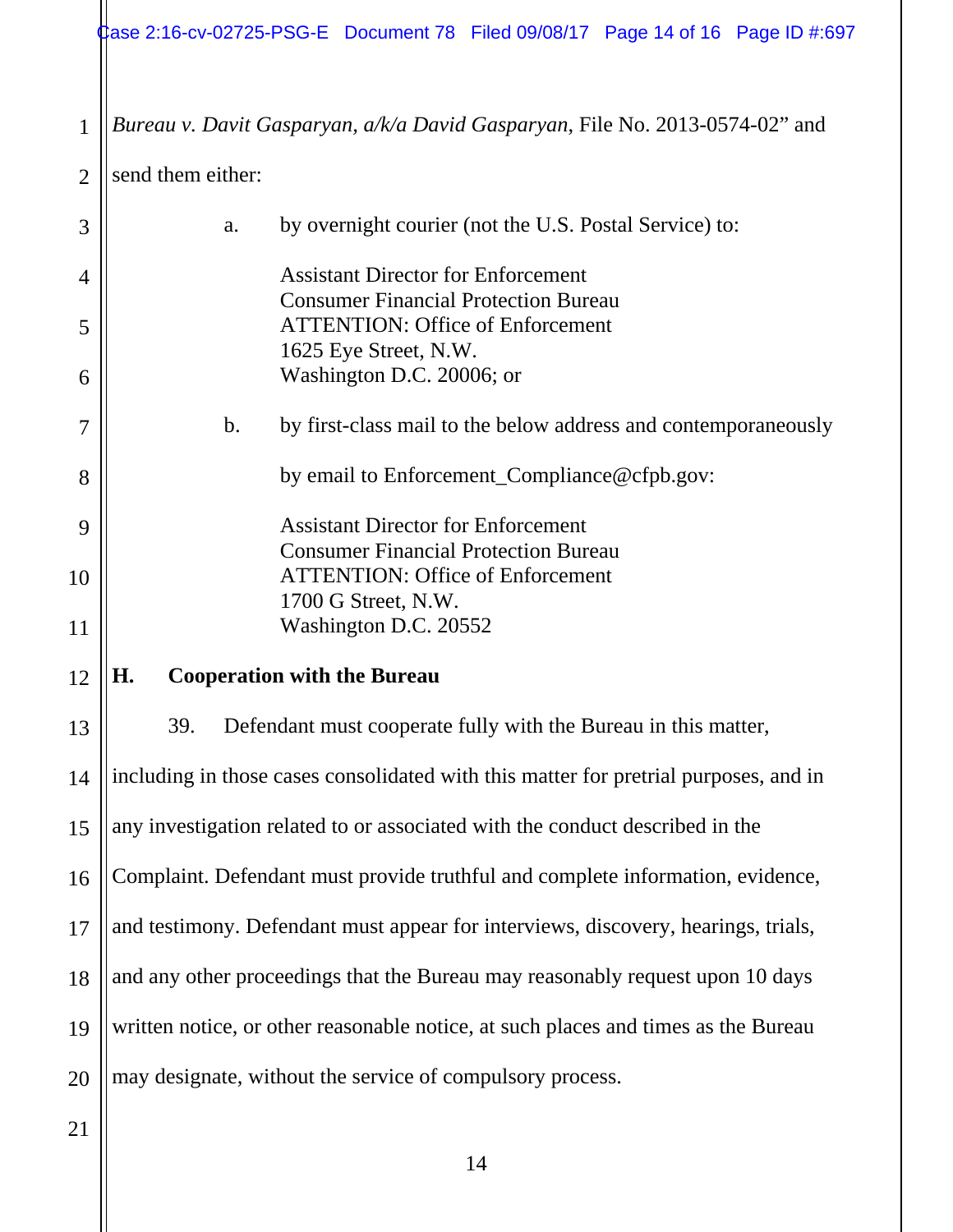$\frac{1}{2}$ ase 2:16-cv-02725-PSG-E Document 78 Filed 09/08/17 Page 14 of 16 Page ID #:697

1 *Bureau v. Davit Gasparyan, a/k/a David Gasparyan*, File No. 2013-0574-02" and

2 send them either:

| 3  | a.                                       | by overnight courier (not the U.S. Postal Service) to:                                 |
|----|------------------------------------------|----------------------------------------------------------------------------------------|
| 4  |                                          | <b>Assistant Director for Enforcement</b>                                              |
| 5  |                                          | <b>Consumer Financial Protection Bureau</b><br><b>ATTENTION: Office of Enforcement</b> |
| 6  |                                          | 1625 Eye Street, N.W.<br>Washington D.C. 20006; or                                     |
|    |                                          |                                                                                        |
| 7  | b.                                       | by first-class mail to the below address and contemporaneously                         |
| 8  |                                          | by email to Enforcement_Compliance@cfpb.gov:                                           |
| 9  |                                          | <b>Assistant Director for Enforcement</b>                                              |
| 10 |                                          | <b>Consumer Financial Protection Bureau</b><br><b>ATTENTION: Office of Enforcement</b> |
|    |                                          | 1700 G Street, N.W.                                                                    |
| 11 |                                          | Washington D.C. 20552                                                                  |
|    |                                          |                                                                                        |
| 12 | H.<br><b>Cooperation with the Bureau</b> |                                                                                        |
| 13 | 39.                                      | Defendant must cooperate fully with the Bureau in this matter,                         |
| 14 |                                          | including in those cases consolidated with this matter for pretrial purposes, and in   |
| 15 |                                          | any investigation related to or associated with the conduct described in the           |
| 16 |                                          | Complaint. Defendant must provide truthful and complete information, evidence,         |
| 17 |                                          | and testimony. Defendant must appear for interviews, discovery, hearings, trials,      |
| 18 |                                          | and any other proceedings that the Bureau may reasonably request upon 10 days          |
| 19 |                                          | written notice, or other reasonable notice, at such places and times as the Bureau     |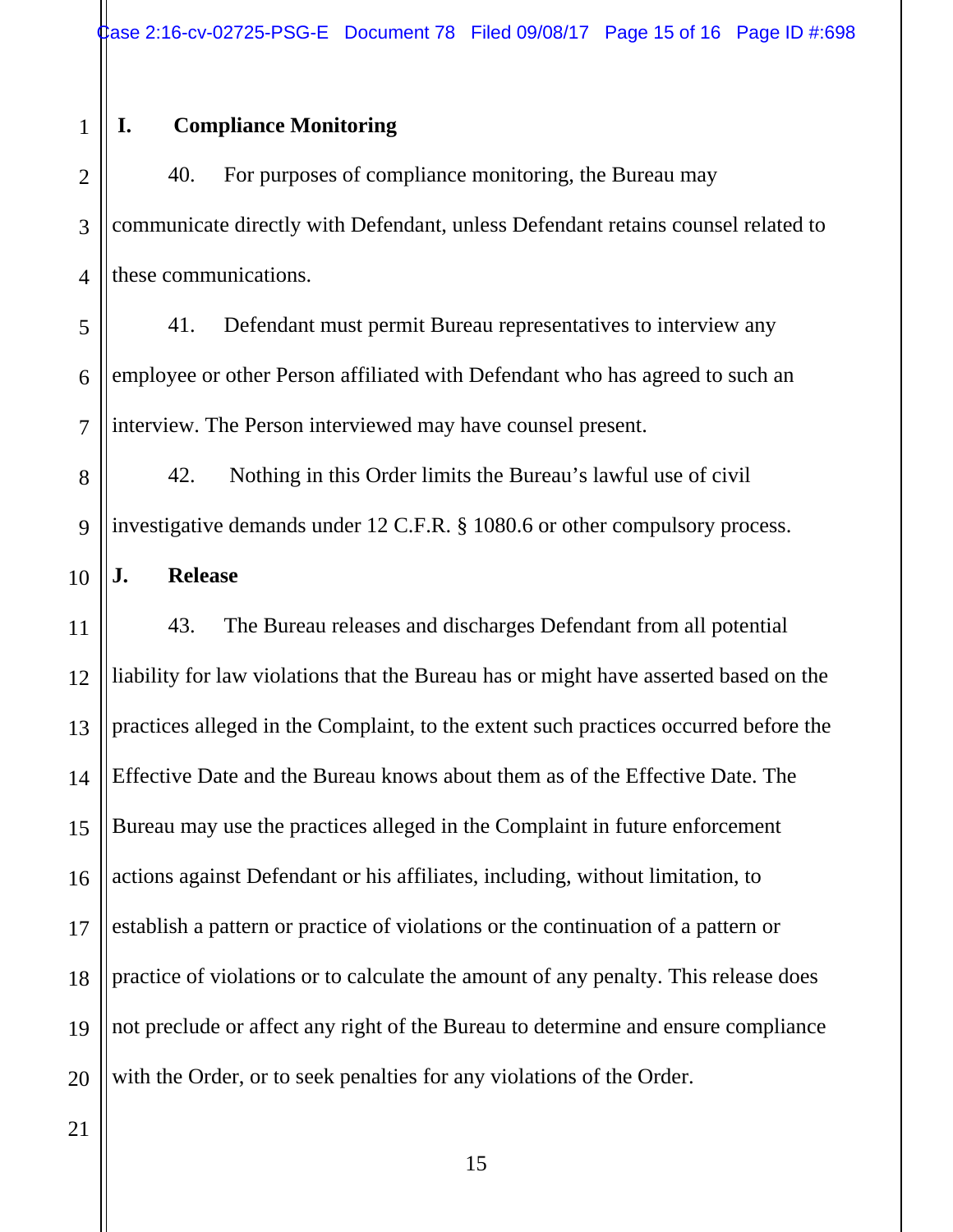# **I. Compliance Monitoring**

1

2 3 4 40. For purposes of compliance monitoring, the Bureau may communicate directly with Defendant, unless Defendant retains counsel related to these communications.

5 6 7 41. Defendant must permit Bureau representatives to interview any employee or other Person affiliated with Defendant who has agreed to such an interview. The Person interviewed may have counsel present.

8 9 42. Nothing in this Order limits the Bureau's lawful use of civil investigative demands under 12 C.F.R. § 1080.6 or other compulsory process.

10 **J. Release** 

11 12 13 14 15 16 17 18 19 20 43. The Bureau releases and discharges Defendant from all potential liability for law violations that the Bureau has or might have asserted based on the practices alleged in the Complaint, to the extent such practices occurred before the Effective Date and the Bureau knows about them as of the Effective Date. The Bureau may use the practices alleged in the Complaint in future enforcement actions against Defendant or his affiliates, including, without limitation, to establish a pattern or practice of violations or the continuation of a pattern or practice of violations or to calculate the amount of any penalty. This release does not preclude or affect any right of the Bureau to determine and ensure compliance with the Order, or to seek penalties for any violations of the Order.